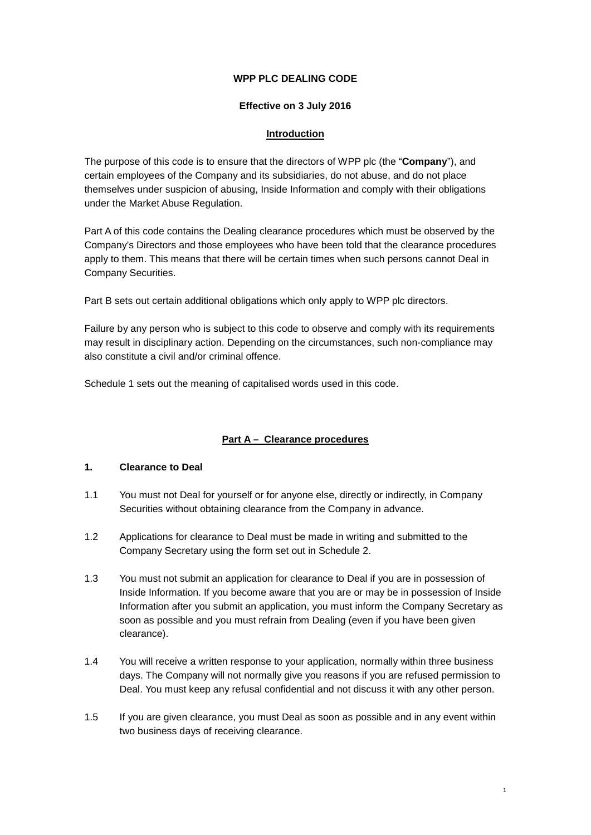#### **WPP PLC DEALING CODE**

#### **Effective on 3 July 2016**

#### **Introduction**

The purpose of this code is to ensure that the directors of WPP plc (the "**Company**"), and certain employees of the Company and its subsidiaries, do not abuse, and do not place themselves under suspicion of abusing, Inside Information and comply with their obligations under the Market Abuse Regulation.

Part A of this code contains the Dealing clearance procedures which must be observed by the Company's Directors and those employees who have been told that the clearance procedures apply to them. This means that there will be certain times when such persons cannot Deal in Company Securities.

Part B sets out certain additional obligations which only apply to WPP plc directors.

Failure by any person who is subject to this code to observe and comply with its requirements may result in disciplinary action. Depending on the circumstances, such non-compliance may also constitute a civil and/or criminal offence.

Schedule 1 sets out the meaning of capitalised words used in this code.

# **Part A – Clearance procedures**

#### **1. Clearance to Deal**

- 1.1 You must not Deal for yourself or for anyone else, directly or indirectly, in Company Securities without obtaining clearance from the Company in advance.
- 1.2 Applications for clearance to Deal must be made in writing and submitted to the Company Secretary using the form set out in Schedule 2.
- 1.3 You must not submit an application for clearance to Deal if you are in possession of Inside Information. If you become aware that you are or may be in possession of Inside Information after you submit an application, you must inform the Company Secretary as soon as possible and you must refrain from Dealing (even if you have been given clearance).
- 1.4 You will receive a written response to your application, normally within three business days. The Company will not normally give you reasons if you are refused permission to Deal. You must keep any refusal confidential and not discuss it with any other person.
- 1.5 If you are given clearance, you must Deal as soon as possible and in any event within two business days of receiving clearance.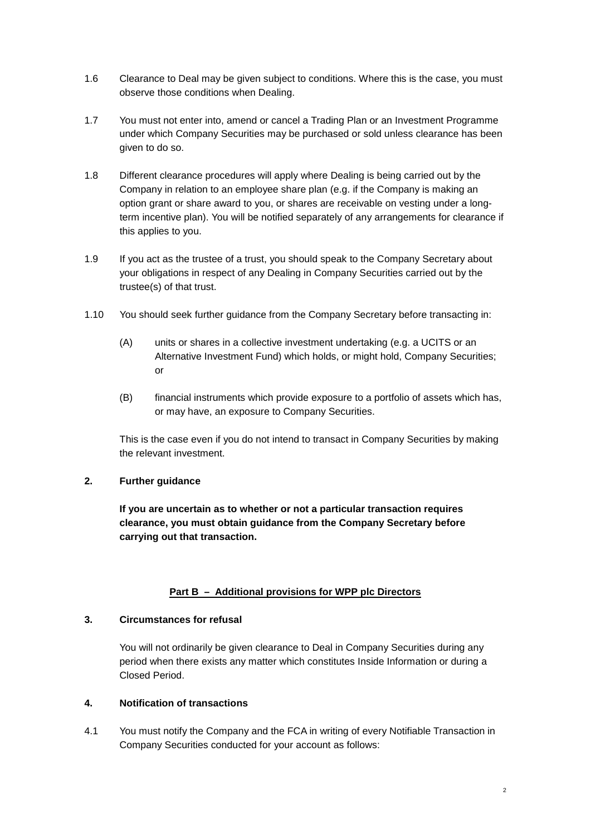- 1.6 Clearance to Deal may be given subject to conditions. Where this is the case, you must observe those conditions when Dealing.
- 1.7 You must not enter into, amend or cancel a Trading Plan or an Investment Programme under which Company Securities may be purchased or sold unless clearance has been given to do so.
- 1.8 Different clearance procedures will apply where Dealing is being carried out by the Company in relation to an employee share plan (e.g. if the Company is making an option grant or share award to you, or shares are receivable on vesting under a longterm incentive plan). You will be notified separately of any arrangements for clearance if this applies to you.
- 1.9 If you act as the trustee of a trust, you should speak to the Company Secretary about your obligations in respect of any Dealing in Company Securities carried out by the trustee(s) of that trust.
- 1.10 You should seek further guidance from the Company Secretary before transacting in:
	- (A) units or shares in a collective investment undertaking (e.g. a UCITS or an Alternative Investment Fund) which holds, or might hold, Company Securities; or
	- (B) financial instruments which provide exposure to a portfolio of assets which has, or may have, an exposure to Company Securities.

This is the case even if you do not intend to transact in Company Securities by making the relevant investment.

# **2. Further guidance**

**If you are uncertain as to whether or not a particular transaction requires clearance, you must obtain guidance from the Company Secretary before carrying out that transaction.**

# **Part B – Additional provisions for WPP plc Directors**

#### **3. Circumstances for refusal**

You will not ordinarily be given clearance to Deal in Company Securities during any period when there exists any matter which constitutes Inside Information or during a Closed Period.

#### **4. Notification of transactions**

<span id="page-1-0"></span>4.1 You must notify the Company and the FCA in writing of every Notifiable Transaction in Company Securities conducted for your account as follows: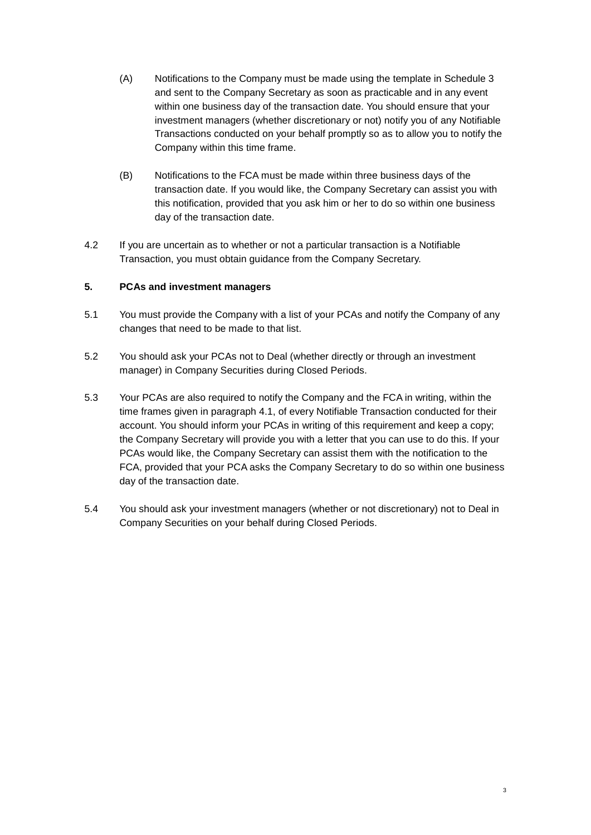- (A) Notifications to the Company must be made using the template in [Schedule 3](#page-6-0) and sent to the Company Secretary as soon as practicable and in any event within one business day of the transaction date. You should ensure that your investment managers (whether discretionary or not) notify you of any Notifiable Transactions conducted on your behalf promptly so as to allow you to notify the Company within this time frame.
- (B) Notifications to the FCA must be made within three business days of the transaction date. If you would like, the Company Secretary can assist you with this notification, provided that you ask him or her to do so within one business day of the transaction date.
- 4.2 If you are uncertain as to whether or not a particular transaction is a Notifiable Transaction, you must obtain guidance from the Company Secretary.

#### **5. PCAs and investment managers**

- 5.1 You must provide the Company with a list of your PCAs and notify the Company of any changes that need to be made to that list.
- 5.2 You should ask your PCAs not to Deal (whether directly or through an investment manager) in Company Securities during Closed Periods.
- 5.3 Your PCAs are also required to notify the Company and the FCA in writing, within the time frames given in paragraph [4.1,](#page-1-0) of every Notifiable Transaction conducted for their account. You should inform your PCAs in writing of this requirement and keep a copy; the Company Secretary will provide you with a letter that you can use to do this. If your PCAs would like, the Company Secretary can assist them with the notification to the FCA, provided that your PCA asks the Company Secretary to do so within one business day of the transaction date.
- 5.4 You should ask your investment managers (whether or not discretionary) not to Deal in Company Securities on your behalf during Closed Periods.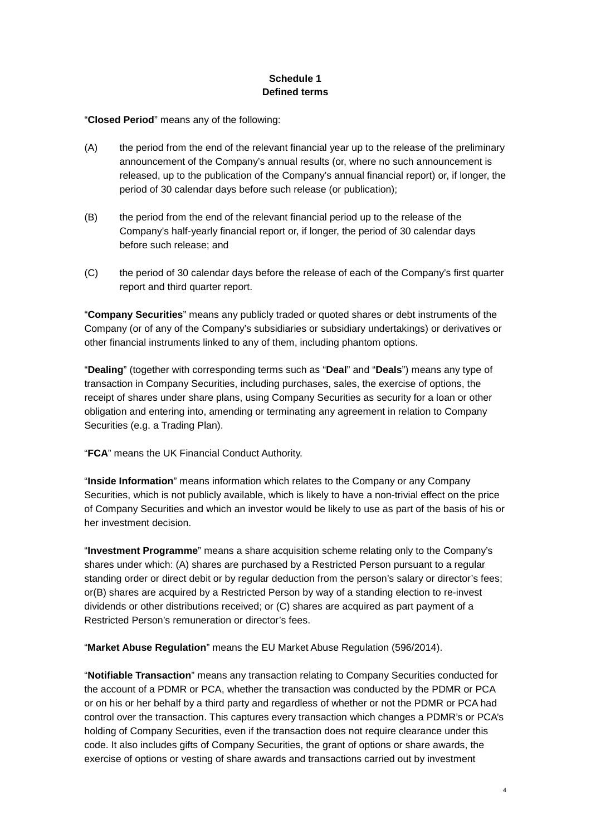# **Schedule 1 Defined terms**

"**Closed Period**" means any of the following:

- (A) the period from the end of the relevant financial year up to the release of the preliminary announcement of the Company's annual results (or, where no such announcement is released, up to the publication of the Company's annual financial report) or, if longer, the period of 30 calendar days before such release (or publication);
- (B) the period from the end of the relevant financial period up to the release of the Company's half-yearly financial report or, if longer, the period of 30 calendar days before such release; and
- (C) the period of 30 calendar days before the release of each of the Company's first quarter report and third quarter report.

"**Company Securities**" means any publicly traded or quoted shares or debt instruments of the Company (or of any of the Company's subsidiaries or subsidiary undertakings) or derivatives or other financial instruments linked to any of them, including phantom options.

"**Dealing**" (together with corresponding terms such as "**Deal**" and "**Deals**") means any type of transaction in Company Securities, including purchases, sales, the exercise of options, the receipt of shares under share plans, using Company Securities as security for a loan or other obligation and entering into, amending or terminating any agreement in relation to Company Securities (e.g. a Trading Plan).

"**FCA**" means the UK Financial Conduct Authority.

"**Inside Information**" means information which relates to the Company or any Company Securities, which is not publicly available, which is likely to have a non-trivial effect on the price of Company Securities and which an investor would be likely to use as part of the basis of his or her investment decision.

"**Investment Programme**" means a share acquisition scheme relating only to the Company's shares under which: (A) shares are purchased by a Restricted Person pursuant to a regular standing order or direct debit or by regular deduction from the person's salary or director's fees; or(B) shares are acquired by a Restricted Person by way of a standing election to re-invest dividends or other distributions received; or (C) shares are acquired as part payment of a Restricted Person's remuneration or director's fees.

"**Market Abuse Regulation**" means the EU Market Abuse Regulation (596/2014).

"**Notifiable Transaction**" means any transaction relating to Company Securities conducted for the account of a PDMR or PCA, whether the transaction was conducted by the PDMR or PCA or on his or her behalf by a third party and regardless of whether or not the PDMR or PCA had control over the transaction. This captures every transaction which changes a PDMR's or PCA's holding of Company Securities, even if the transaction does not require clearance under this code. It also includes gifts of Company Securities, the grant of options or share awards, the exercise of options or vesting of share awards and transactions carried out by investment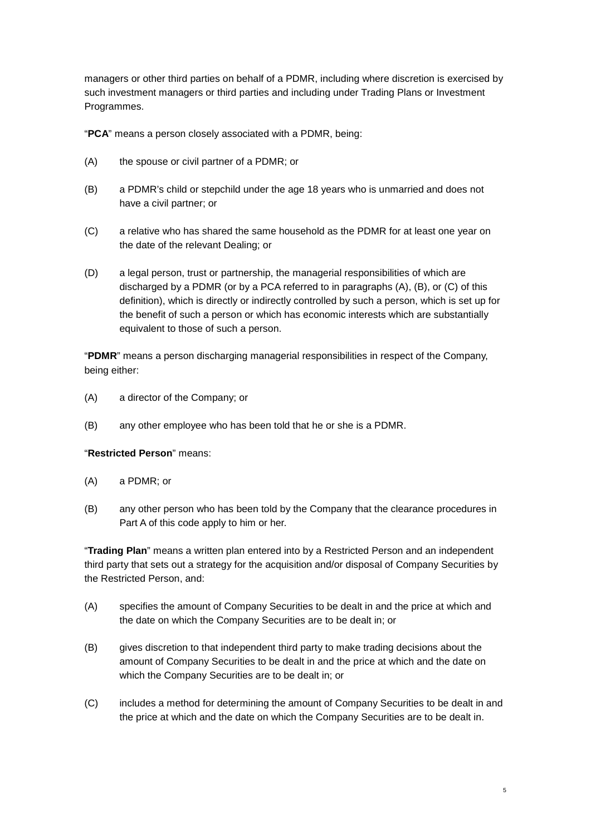managers or other third parties on behalf of a PDMR, including where discretion is exercised by such investment managers or third parties and including under Trading Plans or Investment Programmes.

"**PCA**" means a person closely associated with a PDMR, being:

- <span id="page-4-0"></span>(A) the spouse or civil partner of a PDMR; or
- <span id="page-4-1"></span>(B) a PDMR's child or stepchild under the age 18 years who is unmarried and does not have a civil partner; or
- <span id="page-4-2"></span>(C) a relative who has shared the same household as the PDMR for at least one year on the date of the relevant Dealing; or
- (D) a legal person, trust or partnership, the managerial responsibilities of which are discharged by a PDMR (or by a PCA referred to in paragraphs [\(A\),](#page-4-0) [\(B\),](#page-4-1) or [\(C\)](#page-4-2) of this definition), which is directly or indirectly controlled by such a person, which is set up for the benefit of such a person or which has economic interests which are substantially equivalent to those of such a person.

"**PDMR**" means a person discharging managerial responsibilities in respect of the Company, being either:

- (A) a director of the Company; or
- (B) any other employee who has been told that he or she is a PDMR.

"**Restricted Person**" means:

- (A) a PDMR; or
- (B) any other person who has been told by the Company that the clearance procedures in Part A of this code apply to him or her.

"**Trading Plan**" means a written plan entered into by a Restricted Person and an independent third party that sets out a strategy for the acquisition and/or disposal of Company Securities by the Restricted Person, and:

- (A) specifies the amount of Company Securities to be dealt in and the price at which and the date on which the Company Securities are to be dealt in; or
- (B) gives discretion to that independent third party to make trading decisions about the amount of Company Securities to be dealt in and the price at which and the date on which the Company Securities are to be dealt in; or
- (C) includes a method for determining the amount of Company Securities to be dealt in and the price at which and the date on which the Company Securities are to be dealt in.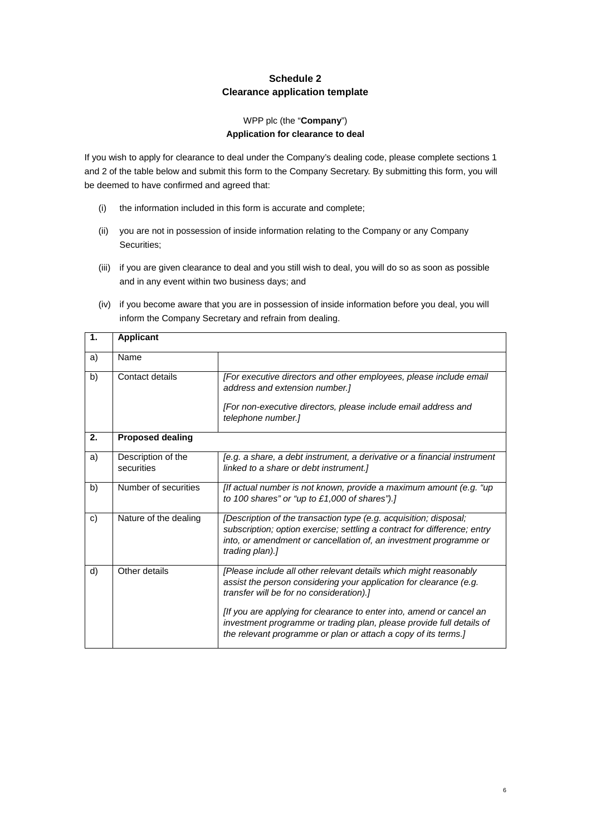# **Schedule 2 Clearance application template**

#### WPP plc (the "**Company**") **Application for clearance to deal**

If you wish to apply for clearance to deal under the Company's dealing code, please complete sections 1 and 2 of the table below and submit this form to the Company Secretary. By submitting this form, you will be deemed to have confirmed and agreed that:

- (i) the information included in this form is accurate and complete;
- (ii) you are not in possession of inside information relating to the Company or any Company Securities;
- (iii) if you are given clearance to deal and you still wish to deal, you will do so as soon as possible and in any event within two business days; and
- (iv) if you become aware that you are in possession of inside information before you deal, you will inform the Company Secretary and refrain from dealing.

| 1. | <b>Applicant</b>                 |                                                                                                                                                                                                                                       |  |
|----|----------------------------------|---------------------------------------------------------------------------------------------------------------------------------------------------------------------------------------------------------------------------------------|--|
| a) | Name                             |                                                                                                                                                                                                                                       |  |
| b) | Contact details                  | [For executive directors and other employees, please include email<br>address and extension number.]                                                                                                                                  |  |
|    |                                  | [For non-executive directors, please include email address and<br>telephone number.]                                                                                                                                                  |  |
| 2. | <b>Proposed dealing</b>          |                                                                                                                                                                                                                                       |  |
| a) | Description of the<br>securities | [e.g. a share, a debt instrument, a derivative or a financial instrument<br>linked to a share or debt instrument.]                                                                                                                    |  |
| b) | Number of securities             | [If actual number is not known, provide a maximum amount (e.g. "up"]<br>to 100 shares" or "up to $£1,000$ of shares").]                                                                                                               |  |
| c) | Nature of the dealing            | [Description of the transaction type (e.g. acquisition; disposal;<br>subscription; option exercise; settling a contract for difference; entry<br>into, or amendment or cancellation of, an investment programme or<br>trading plan).] |  |
| d) | Other details                    | [Please include all other relevant details which might reasonably<br>assist the person considering your application for clearance (e.g.<br>transfer will be for no consideration).]                                                   |  |
|    |                                  | [If you are applying for clearance to enter into, amend or cancel an<br>investment programme or trading plan, please provide full details of<br>the relevant programme or plan or attach a copy of its terms.]                        |  |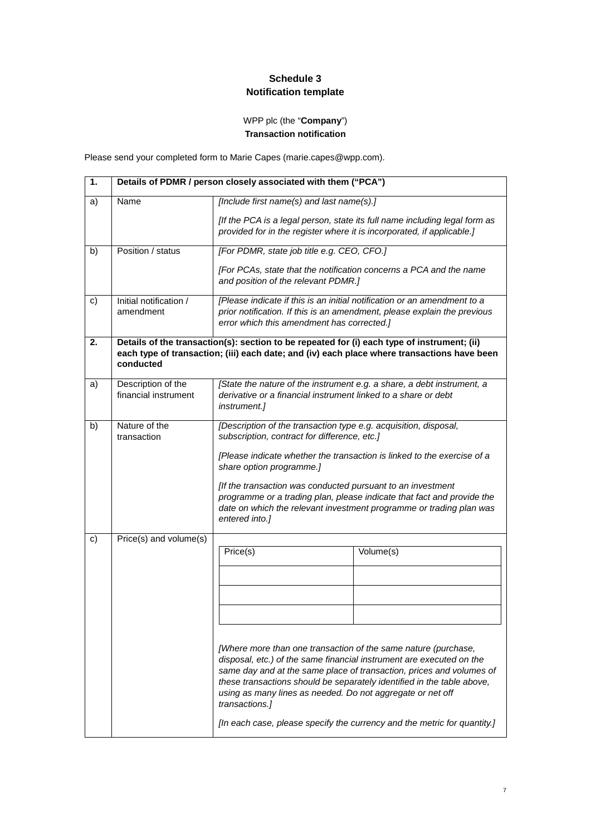# **Schedule 3 Notification template**

# WPP plc (the "**Company**") **Transaction notification**

<span id="page-6-0"></span>Please send your completed form to Marie Capes (marie.capes@wpp.com).

| 1. | Details of PDMR / person closely associated with them ("PCA") |                                                                                                                                                                                                                                                                                                                                                                                                                                                           |                                                                                                                                                                                                                                                                                                                 |
|----|---------------------------------------------------------------|-----------------------------------------------------------------------------------------------------------------------------------------------------------------------------------------------------------------------------------------------------------------------------------------------------------------------------------------------------------------------------------------------------------------------------------------------------------|-----------------------------------------------------------------------------------------------------------------------------------------------------------------------------------------------------------------------------------------------------------------------------------------------------------------|
| a) | Name                                                          | [Include first name(s) and last name(s).]<br>provided for in the register where it is incorporated, if applicable.]                                                                                                                                                                                                                                                                                                                                       | [If the PCA is a legal person, state its full name including legal form as                                                                                                                                                                                                                                      |
| b) | Position / status                                             | [For PDMR, state job title e.g. CEO, CFO.]<br>and position of the relevant PDMR.]                                                                                                                                                                                                                                                                                                                                                                         | [For PCAs, state that the notification concerns a PCA and the name                                                                                                                                                                                                                                              |
| c) | Initial notification /<br>amendment                           | error which this amendment has corrected.]                                                                                                                                                                                                                                                                                                                                                                                                                | [Please indicate if this is an initial notification or an amendment to a<br>prior notification. If this is an amendment, please explain the previous                                                                                                                                                            |
| 2. | conducted                                                     | Details of the transaction(s): section to be repeated for (i) each type of instrument; (ii)                                                                                                                                                                                                                                                                                                                                                               | each type of transaction; (iii) each date; and (iv) each place where transactions have been                                                                                                                                                                                                                     |
| a) | Description of the<br>financial instrument                    | derivative or a financial instrument linked to a share or debt<br>instrument.]                                                                                                                                                                                                                                                                                                                                                                            | [State the nature of the instrument e.g. a share, a debt instrument, a                                                                                                                                                                                                                                          |
| b) | Nature of the<br>transaction                                  | [Description of the transaction type e.g. acquisition, disposal,<br>subscription, contract for difference, etc.]<br>[Please indicate whether the transaction is linked to the exercise of a<br>share option programme.]<br>[If the transaction was conducted pursuant to an investment<br>programme or a trading plan, please indicate that fact and provide the<br>date on which the relevant investment programme or trading plan was<br>entered into.] |                                                                                                                                                                                                                                                                                                                 |
| c) | Price(s) and volume(s)                                        | Price(s)<br>[Where more than one transaction of the same nature (purchase,<br>using as many lines as needed. Do not aggregate or net off<br>transactions.]                                                                                                                                                                                                                                                                                                | Volume(s)<br>disposal, etc.) of the same financial instrument are executed on the<br>same day and at the same place of transaction, prices and volumes of<br>these transactions should be separately identified in the table above,<br>[In each case, please specify the currency and the metric for quantity.] |